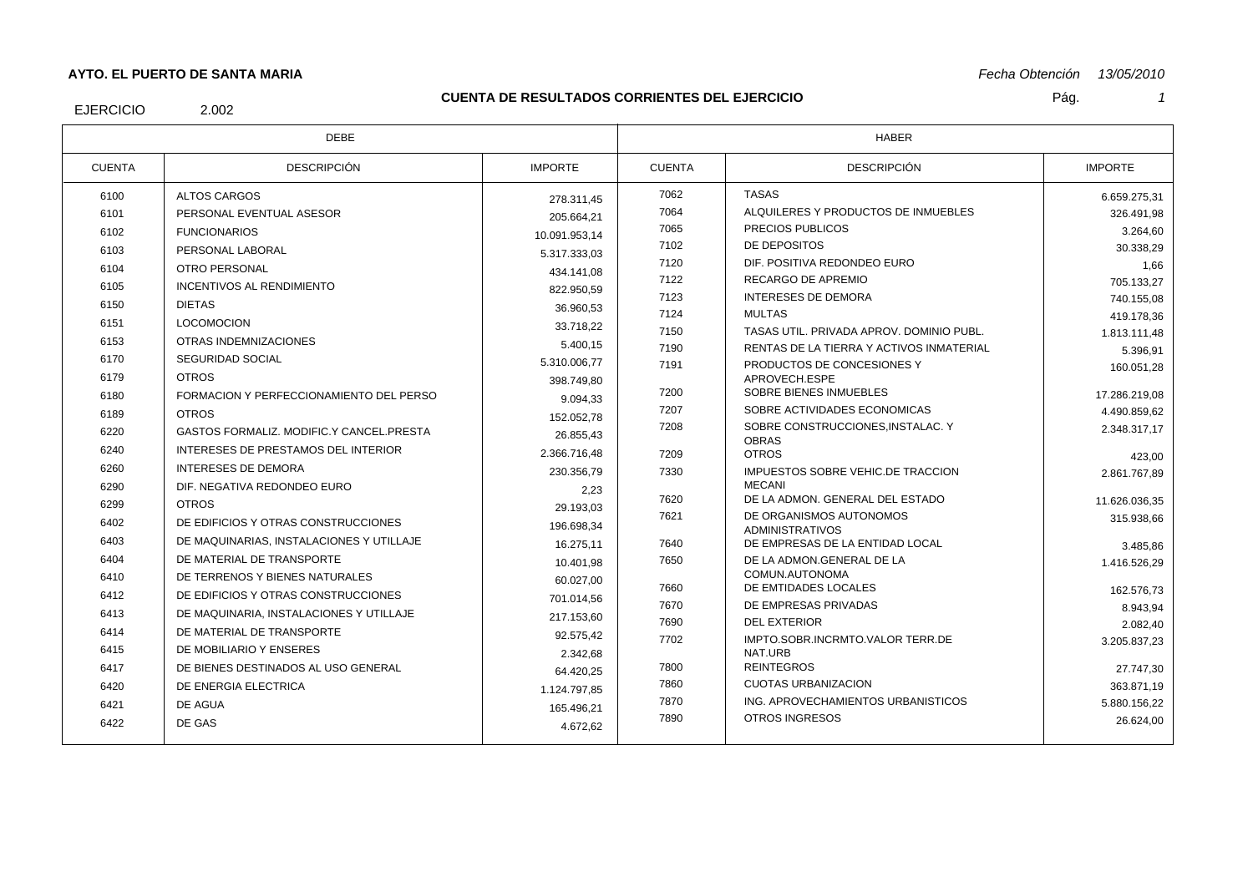## **AYTO. EL PUERTO DE SANTA MARIA**

#### **CUENTA DE RESULTADOS CORRIENTES DEL EJERCICIO**

*Fecha Obtención 13/05/2010*

EJERCICIO

2.002

| <b>DEBE</b>   |                                          | <b>HABER</b>   |               |                                                         |                |
|---------------|------------------------------------------|----------------|---------------|---------------------------------------------------------|----------------|
| <b>CUENTA</b> | <b>DESCRIPCIÓN</b>                       | <b>IMPORTE</b> | <b>CUENTA</b> | <b>DESCRIPCIÓN</b>                                      | <b>IMPORTE</b> |
| 6100          | ALTOS CARGOS                             | 278.311.45     | 7062          | <b>TASAS</b>                                            | 6.659.275.31   |
| 6101          | PERSONAL EVENTUAL ASESOR                 | 205.664,21     | 7064          | ALQUILERES Y PRODUCTOS DE INMUEBLES                     | 326.491.98     |
| 6102          | <b>FUNCIONARIOS</b>                      | 10.091.953.14  | 7065          | PRECIOS PUBLICOS                                        | 3.264,60       |
| 6103          | PERSONAL LABORAL                         | 5.317.333.03   | 7102          | DE DEPOSITOS                                            | 30.338,29      |
| 6104          | OTRO PERSONAL                            | 434.141.08     | 7120          | DIF. POSITIVA REDONDEO EURO                             | 1,66           |
| 6105          | <b>INCENTIVOS AL RENDIMIENTO</b>         | 822.950,59     | 7122          | RECARGO DE APREMIO                                      | 705.133,27     |
| 6150          | <b>DIETAS</b>                            | 36.960.53      | 7123          | <b>INTERESES DE DEMORA</b>                              | 740.155.08     |
| 6151          | <b>LOCOMOCION</b>                        | 33.718.22      | 7124          | <b>MULTAS</b>                                           | 419.178.36     |
| 6153          | OTRAS INDEMNIZACIONES                    | 5.400,15       | 7150          | TASAS UTIL, PRIVADA APROV, DOMINIO PUBL.                | 1.813.111,48   |
| 6170          | <b>SEGURIDAD SOCIAL</b>                  | 5.310.006.77   | 7190          | RENTAS DE LA TIERRA Y ACTIVOS INMATERIAL                | 5.396,91       |
| 6179          | <b>OTROS</b>                             | 398.749.80     | 7191          | PRODUCTOS DE CONCESIONES Y<br>APROVECH.ESPE             | 160.051,28     |
| 6180          | FORMACION Y PERFECCIONAMIENTO DEL PERSO  | 9.094,33       | 7200          | SOBRE BIENES INMUEBLES                                  | 17.286.219.08  |
| 6189          | <b>OTROS</b>                             | 152.052,78     | 7207          | SOBRE ACTIVIDADES ECONOMICAS                            | 4.490.859.62   |
| 6220          | GASTOS FORMALIZ, MODIFIC Y CANCEL PRESTA | 26.855.43      | 7208          | SOBRE CONSTRUCCIONES.INSTALAC. Y                        | 2.348.317,17   |
| 6240          | INTERESES DE PRESTAMOS DEL INTERIOR      | 2.366.716,48   | 7209          | <b>OBRAS</b><br><b>OTROS</b>                            | 423,00         |
| 6260          | <b>INTERESES DE DEMORA</b>               | 230.356,79     | 7330          | IMPUESTOS SOBRE VEHIC.DE TRACCION                       | 2.861.767.89   |
| 6290          | DIF. NEGATIVA REDONDEO EURO              | 2,23           |               | <b>MECANI</b>                                           |                |
| 6299          | <b>OTROS</b>                             | 29.193,03      | 7620          | DE LA ADMON. GENERAL DEL ESTADO                         | 11.626.036,35  |
| 6402          | DE EDIFICIOS Y OTRAS CONSTRUCCIONES      | 196.698,34     | 7621          | DE ORGANISMOS AUTONOMOS<br><b>ADMINISTRATIVOS</b>       | 315.938,66     |
| 6403          | DE MAQUINARIAS. INSTALACIONES Y UTILLAJE | 16.275.11      | 7640          | DE EMPRESAS DE LA ENTIDAD LOCAL                         | 3.485.86       |
| 6404          | DE MATERIAL DE TRANSPORTE                | 10.401.98      | 7650          | DE LA ADMON GENERAL DE LA                               | 1.416.526,29   |
| 6410          | DE TERRENOS Y BIENES NATURALES           | 60.027.00      |               | COMUN.AUTONOMA                                          |                |
| 6412          | DE EDIFICIOS Y OTRAS CONSTRUCCIONES      | 701.014,56     | 7660          | DE EMTIDADES LOCALES                                    | 162.576,73     |
| 6413          | DE MAQUINARIA, INSTALACIONES Y UTILLAJE  | 217.153.60     | 7670          | DE EMPRESAS PRIVADAS                                    | 8.943.94       |
| 6414          | DE MATERIAL DE TRANSPORTE                | 92.575.42      | 7690<br>7702  | <b>DEL EXTERIOR</b><br>IMPTO.SOBR.INCRMTO.VALOR TERR.DE | 2.082,40       |
| 6415          | DE MOBILIARIO Y ENSERES                  | 2.342,68       |               | NAT.URB                                                 | 3.205.837,23   |
| 6417          | DE BIENES DESTINADOS AL USO GENERAL      | 64.420.25      | 7800          | <b>REINTEGROS</b>                                       | 27.747,30      |
| 6420          | DE ENERGIA ELECTRICA                     | 1.124.797.85   | 7860          | <b>CUOTAS URBANIZACION</b>                              | 363.871,19     |
| 6421          | DE AGUA                                  | 165.496,21     | 7870          | ING. APROVECHAMIENTOS URBANISTICOS                      | 5.880.156.22   |
| 6422          | DE GAS                                   | 4.672,62       | 7890          | OTROS INGRESOS                                          | 26.624,00      |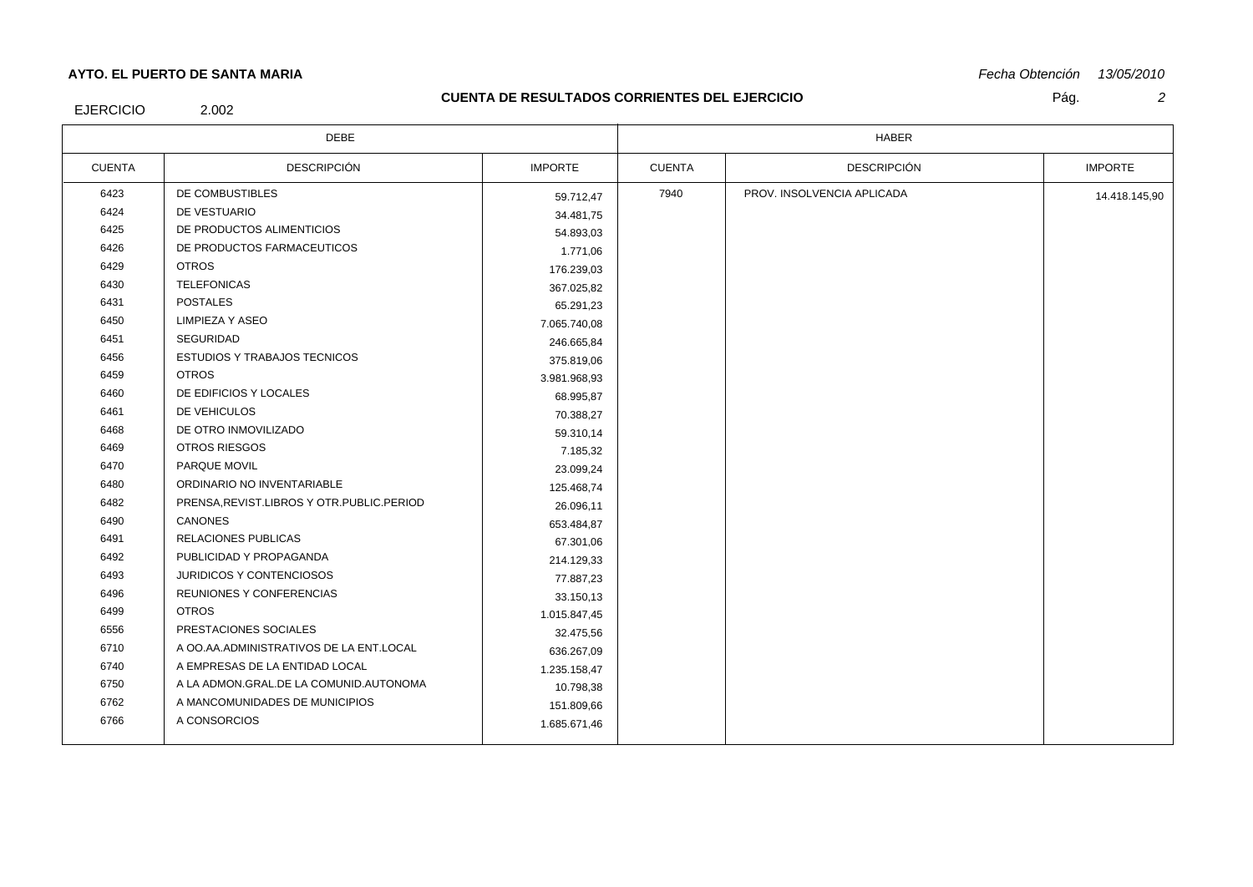## **AYTO. EL PUERTO DE SANTA MARIA**

### **CUENTA DE RESULTADOS CORRIENTES DEL EJERCICIO**

*Fecha Obtención 13/05/2010*

EJERCICIO

# 2.002

Pág. *2*

| <b>DEBE</b>   |                                             | <b>HABER</b>   |               |                            |                |
|---------------|---------------------------------------------|----------------|---------------|----------------------------|----------------|
| <b>CUENTA</b> | <b>DESCRIPCIÓN</b>                          | <b>IMPORTE</b> | <b>CUENTA</b> | <b>DESCRIPCIÓN</b>         | <b>IMPORTE</b> |
| 6423          | DE COMBUSTIBLES                             | 59.712,47      | 7940          | PROV. INSOLVENCIA APLICADA | 14.418.145,90  |
| 6424          | DE VESTUARIO                                | 34.481,75      |               |                            |                |
| 6425          | DE PRODUCTOS ALIMENTICIOS                   | 54.893,03      |               |                            |                |
| 6426          | DE PRODUCTOS FARMACEUTICOS                  | 1.771,06       |               |                            |                |
| 6429          | <b>OTROS</b>                                | 176.239,03     |               |                            |                |
| 6430          | <b>TELEFONICAS</b>                          | 367.025,82     |               |                            |                |
| 6431          | <b>POSTALES</b>                             | 65.291,23      |               |                            |                |
| 6450          | <b>LIMPIEZA Y ASEO</b>                      | 7.065.740,08   |               |                            |                |
| 6451          | <b>SEGURIDAD</b>                            | 246.665,84     |               |                            |                |
| 6456          | <b>ESTUDIOS Y TRABAJOS TECNICOS</b>         | 375.819,06     |               |                            |                |
| 6459          | <b>OTROS</b>                                | 3.981.968,93   |               |                            |                |
| 6460          | DE EDIFICIOS Y LOCALES                      | 68.995,87      |               |                            |                |
| 6461          | DE VEHICULOS                                | 70.388,27      |               |                            |                |
| 6468          | DE OTRO INMOVILIZADO                        | 59.310,14      |               |                            |                |
| 6469          | OTROS RIESGOS                               | 7.185,32       |               |                            |                |
| 6470          | PARQUE MOVIL                                | 23.099,24      |               |                            |                |
| 6480          | ORDINARIO NO INVENTARIABLE                  | 125.468,74     |               |                            |                |
| 6482          | PRENSA, REVIST.LIBROS Y OTR. PUBLIC. PERIOD | 26.096,11      |               |                            |                |
| 6490          | CANONES                                     | 653.484,87     |               |                            |                |
| 6491          | <b>RELACIONES PUBLICAS</b>                  | 67.301,06      |               |                            |                |
| 6492          | PUBLICIDAD Y PROPAGANDA                     | 214.129,33     |               |                            |                |
| 6493          | <b>JURIDICOS Y CONTENCIOSOS</b>             | 77.887,23      |               |                            |                |
| 6496          | REUNIONES Y CONFERENCIAS                    | 33.150,13      |               |                            |                |
| 6499          | <b>OTROS</b>                                | 1.015.847,45   |               |                            |                |
| 6556          | PRESTACIONES SOCIALES                       | 32.475,56      |               |                            |                |
| 6710          | A OO AA ADMINISTRATIVOS DE LA ENT.LOCAL     | 636.267,09     |               |                            |                |
| 6740          | A EMPRESAS DE LA ENTIDAD LOCAL              | 1.235.158,47   |               |                            |                |
| 6750          | A LA ADMON.GRAL.DE LA COMUNID.AUTONOMA      | 10.798,38      |               |                            |                |
| 6762          | A MANCOMUNIDADES DE MUNICIPIOS              | 151.809,66     |               |                            |                |
| 6766          | A CONSORCIOS                                | 1.685.671,46   |               |                            |                |